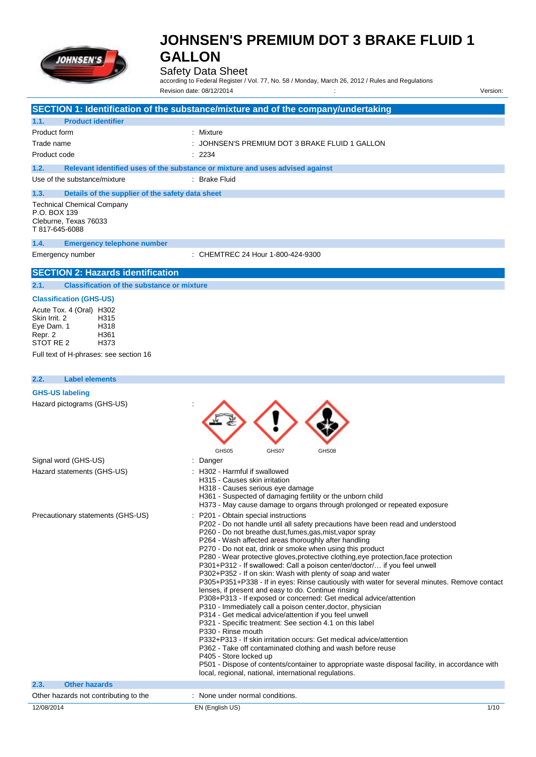

## Safety Data Sheet

according to Federal Register / Vol. 77, No. 58 / Monday, March 26, 2012 / Rules and Regulations Revision date: 08/12/2014 : Version:

|                                                                                                                 | SECTION 1: Identification of the substance/mixture and of the company/undertaking                                                                                                                                                                                                                                                                                                                                                                                                                                                                                                                                                                                                                                                                                                                                                                                                                                                                                                                                                                                                                                                                                                                                                                    |
|-----------------------------------------------------------------------------------------------------------------|------------------------------------------------------------------------------------------------------------------------------------------------------------------------------------------------------------------------------------------------------------------------------------------------------------------------------------------------------------------------------------------------------------------------------------------------------------------------------------------------------------------------------------------------------------------------------------------------------------------------------------------------------------------------------------------------------------------------------------------------------------------------------------------------------------------------------------------------------------------------------------------------------------------------------------------------------------------------------------------------------------------------------------------------------------------------------------------------------------------------------------------------------------------------------------------------------------------------------------------------------|
| 1.1.<br><b>Product identifier</b>                                                                               |                                                                                                                                                                                                                                                                                                                                                                                                                                                                                                                                                                                                                                                                                                                                                                                                                                                                                                                                                                                                                                                                                                                                                                                                                                                      |
| Product form                                                                                                    | : Mixture                                                                                                                                                                                                                                                                                                                                                                                                                                                                                                                                                                                                                                                                                                                                                                                                                                                                                                                                                                                                                                                                                                                                                                                                                                            |
| Trade name                                                                                                      | : JOHNSEN'S PREMIUM DOT 3 BRAKE FLUID 1 GALLON                                                                                                                                                                                                                                                                                                                                                                                                                                                                                                                                                                                                                                                                                                                                                                                                                                                                                                                                                                                                                                                                                                                                                                                                       |
| Product code                                                                                                    | : 2234                                                                                                                                                                                                                                                                                                                                                                                                                                                                                                                                                                                                                                                                                                                                                                                                                                                                                                                                                                                                                                                                                                                                                                                                                                               |
| 1.2.                                                                                                            | Relevant identified uses of the substance or mixture and uses advised against                                                                                                                                                                                                                                                                                                                                                                                                                                                                                                                                                                                                                                                                                                                                                                                                                                                                                                                                                                                                                                                                                                                                                                        |
| Use of the substance/mixture                                                                                    | : Brake Fluid                                                                                                                                                                                                                                                                                                                                                                                                                                                                                                                                                                                                                                                                                                                                                                                                                                                                                                                                                                                                                                                                                                                                                                                                                                        |
| 1.3.                                                                                                            | Details of the supplier of the safety data sheet                                                                                                                                                                                                                                                                                                                                                                                                                                                                                                                                                                                                                                                                                                                                                                                                                                                                                                                                                                                                                                                                                                                                                                                                     |
| <b>Technical Chemical Company</b><br>P.O. BOX 139<br>Cleburne, Texas 76033<br>T 817-645-6088                    |                                                                                                                                                                                                                                                                                                                                                                                                                                                                                                                                                                                                                                                                                                                                                                                                                                                                                                                                                                                                                                                                                                                                                                                                                                                      |
| 1.4.<br><b>Emergency telephone number</b>                                                                       |                                                                                                                                                                                                                                                                                                                                                                                                                                                                                                                                                                                                                                                                                                                                                                                                                                                                                                                                                                                                                                                                                                                                                                                                                                                      |
| Emergency number                                                                                                | : CHEMTREC 24 Hour 1-800-424-9300                                                                                                                                                                                                                                                                                                                                                                                                                                                                                                                                                                                                                                                                                                                                                                                                                                                                                                                                                                                                                                                                                                                                                                                                                    |
| <b>SECTION 2: Hazards identification</b>                                                                        |                                                                                                                                                                                                                                                                                                                                                                                                                                                                                                                                                                                                                                                                                                                                                                                                                                                                                                                                                                                                                                                                                                                                                                                                                                                      |
| 2.1.                                                                                                            | <b>Classification of the substance or mixture</b>                                                                                                                                                                                                                                                                                                                                                                                                                                                                                                                                                                                                                                                                                                                                                                                                                                                                                                                                                                                                                                                                                                                                                                                                    |
| <b>Classification (GHS-US)</b>                                                                                  |                                                                                                                                                                                                                                                                                                                                                                                                                                                                                                                                                                                                                                                                                                                                                                                                                                                                                                                                                                                                                                                                                                                                                                                                                                                      |
| Acute Tox. 4 (Oral) H302<br>Skin Irrit. 2<br>H315<br>Eye Dam. 1<br>H318<br>Repr. 2<br>H361<br>STOT RE 2<br>H373 |                                                                                                                                                                                                                                                                                                                                                                                                                                                                                                                                                                                                                                                                                                                                                                                                                                                                                                                                                                                                                                                                                                                                                                                                                                                      |
| Full text of H-phrases: see section 16                                                                          |                                                                                                                                                                                                                                                                                                                                                                                                                                                                                                                                                                                                                                                                                                                                                                                                                                                                                                                                                                                                                                                                                                                                                                                                                                                      |
|                                                                                                                 |                                                                                                                                                                                                                                                                                                                                                                                                                                                                                                                                                                                                                                                                                                                                                                                                                                                                                                                                                                                                                                                                                                                                                                                                                                                      |
| 2.2.<br><b>Label elements</b>                                                                                   |                                                                                                                                                                                                                                                                                                                                                                                                                                                                                                                                                                                                                                                                                                                                                                                                                                                                                                                                                                                                                                                                                                                                                                                                                                                      |
| <b>GHS-US labeling</b>                                                                                          |                                                                                                                                                                                                                                                                                                                                                                                                                                                                                                                                                                                                                                                                                                                                                                                                                                                                                                                                                                                                                                                                                                                                                                                                                                                      |
| Hazard pictograms (GHS-US)                                                                                      | GHS05<br>GHS07<br>GHS08                                                                                                                                                                                                                                                                                                                                                                                                                                                                                                                                                                                                                                                                                                                                                                                                                                                                                                                                                                                                                                                                                                                                                                                                                              |
| Signal word (GHS-US)                                                                                            | : Danger                                                                                                                                                                                                                                                                                                                                                                                                                                                                                                                                                                                                                                                                                                                                                                                                                                                                                                                                                                                                                                                                                                                                                                                                                                             |
| Hazard statements (GHS-US)                                                                                      | : H302 - Harmful if swallowed<br>H315 - Causes skin irritation<br>H318 - Causes serious eye damage<br>H361 - Suspected of damaging fertility or the unborn child<br>H373 - May cause damage to organs through prolonged or repeated exposure                                                                                                                                                                                                                                                                                                                                                                                                                                                                                                                                                                                                                                                                                                                                                                                                                                                                                                                                                                                                         |
| Precautionary statements (GHS-US)                                                                               | : P201 - Obtain special instructions<br>P202 - Do not handle until all safety precautions have been read and understood<br>P260 - Do not breathe dust, fumes, gas, mist, vapor spray<br>P264 - Wash affected areas thoroughly after handling<br>P270 - Do not eat, drink or smoke when using this product<br>P280 - Wear protective gloves, protective clothing, eye protection, face protection<br>P301+P312 - If swallowed: Call a poison center/doctor/ if you feel unwell<br>P302+P352 - If on skin: Wash with plenty of soap and water<br>P305+P351+P338 - If in eyes: Rinse cautiously with water for several minutes. Remove contact<br>lenses, if present and easy to do. Continue rinsing<br>P308+P313 - If exposed or concerned: Get medical advice/attention<br>P310 - Immediately call a poison center, doctor, physician<br>P314 - Get medical advice/attention if you feel unwell<br>P321 - Specific treatment: See section 4.1 on this label<br>P330 - Rinse mouth<br>P332+P313 - If skin irritation occurs: Get medical advice/attention<br>P362 - Take off contaminated clothing and wash before reuse<br>P405 - Store locked up<br>P501 - Dispose of contents/container to appropriate waste disposal facility, in accordance with |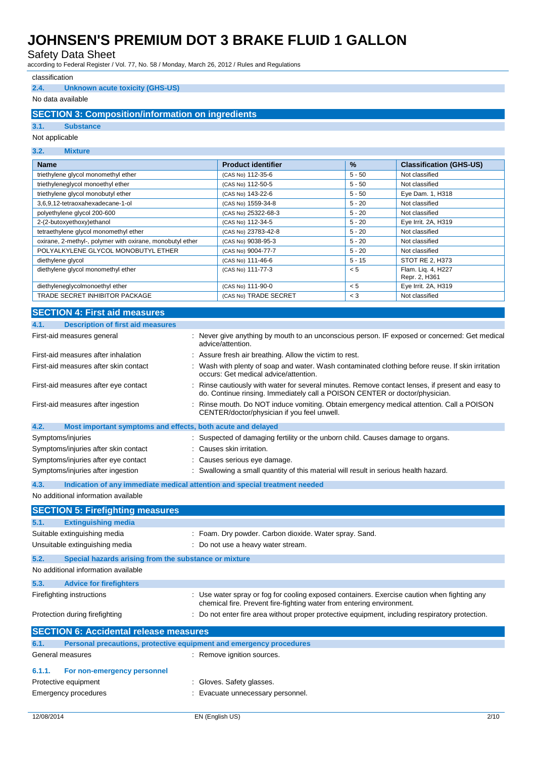Safety Data Sheet

according to Federal Register / Vol. 77, No. 58 / Monday, March 26, 2012 / Rules and Regulations

#### classification

#### **2.4. Unknown acute toxicity (GHS-US)**

### No data available

### **SECTION 3: Composition/information on ingredients**

#### **3.1. Substance**

#### Not applicable

| 3.2.<br><b>Mixture</b>                                    |                           |          |                                     |
|-----------------------------------------------------------|---------------------------|----------|-------------------------------------|
| <b>Name</b>                                               | <b>Product identifier</b> | $\%$     | <b>Classification (GHS-US)</b>      |
| triethylene glycol monomethyl ether                       | (CAS No) 112-35-6         | $5 - 50$ | Not classified                      |
| triethyleneglycol monoethyl ether                         | (CAS No) 112-50-5         | $5 - 50$ | Not classified                      |
| triethylene glycol monobutyl ether                        | (CAS No) 143-22-6         | $5 - 50$ | Eye Dam. 1, H318                    |
| 3,6,9,12-tetraoxahexadecane-1-ol                          | (CAS No) 1559-34-8        | $5 - 20$ | Not classified                      |
| polyethylene glycol 200-600                               | (CAS No) 25322-68-3       | $5 - 20$ | Not classified                      |
| 2-(2-butoxyethoxy)ethanol                                 | (CAS No) 112-34-5         | $5 - 20$ | Eye Irrit. 2A, H319                 |
| tetraethylene glycol monomethyl ether                     | (CAS No) 23783-42-8       | $5 - 20$ | Not classified                      |
| oxirane, 2-methyl-, polymer with oxirane, monobutyl ether | (CAS No) 9038-95-3        | $5 - 20$ | Not classified                      |
| POLYALKYLENE GLYCOL MONOBUTYL ETHER                       | (CAS No) 9004-77-7        | $5 - 20$ | Not classified                      |
| diethylene glycol                                         | (CAS No) 111-46-6         | $5 - 15$ | STOT RE 2, H373                     |
| diethylene glycol monomethyl ether                        | (CAS No) 111-77-3         | < 5      | Flam. Lig. 4, H227<br>Repr. 2, H361 |
| diethyleneglycolmonoethyl ether                           | (CAS No) 111-90-0         | < 5      | Eye Irrit. 2A, H319                 |
| TRADE SECRET INHIBITOR PACKAGE                            | (CAS No) TRADE SECRET     | $<$ 3    | Not classified                      |

### **SECTION 4: First aid measures**

| 4.1.<br><b>Description of first aid measures</b>                    |                                                                                                                                                                               |      |
|---------------------------------------------------------------------|-------------------------------------------------------------------------------------------------------------------------------------------------------------------------------|------|
| First-aid measures general                                          | Never give anything by mouth to an unconscious person. IF exposed or concerned: Get medical<br>advice/attention.                                                              |      |
| First-aid measures after inhalation                                 | Assure fresh air breathing. Allow the victim to rest.                                                                                                                         |      |
| First-aid measures after skin contact                               | Wash with plenty of soap and water. Wash contaminated clothing before reuse. If skin irritation<br>occurs: Get medical advice/attention.                                      |      |
| First-aid measures after eye contact                                | Rinse cautiously with water for several minutes. Remove contact lenses, if present and easy to<br>do. Continue rinsing. Immediately call a POISON CENTER or doctor/physician. |      |
| First-aid measures after ingestion                                  | Rinse mouth. Do NOT induce vomiting. Obtain emergency medical attention. Call a POISON<br>CENTER/doctor/physician if you feel unwell.                                         |      |
| 4.2.<br>Most important symptoms and effects, both acute and delayed |                                                                                                                                                                               |      |
| Symptoms/injuries                                                   | Suspected of damaging fertility or the unborn child. Causes damage to organs.                                                                                                 |      |
| Symptoms/injuries after skin contact                                | Causes skin irritation.                                                                                                                                                       |      |
| Symptoms/injuries after eye contact                                 | Causes serious eye damage.                                                                                                                                                    |      |
| Symptoms/injuries after ingestion                                   | Swallowing a small quantity of this material will result in serious health hazard.                                                                                            |      |
| 4.3.                                                                | Indication of any immediate medical attention and special treatment needed                                                                                                    |      |
| No additional information available                                 |                                                                                                                                                                               |      |
| <b>SECTION 5: Firefighting measures</b>                             |                                                                                                                                                                               |      |
| 5.1.<br><b>Extinguishing media</b>                                  |                                                                                                                                                                               |      |
| Suitable extinguishing media                                        | : Foam. Dry powder. Carbon dioxide. Water spray. Sand.                                                                                                                        |      |
| Unsuitable extinguishing media                                      | Do not use a heavy water stream.                                                                                                                                              |      |
|                                                                     |                                                                                                                                                                               |      |
| 5.2.<br>Special hazards arising from the substance or mixture       |                                                                                                                                                                               |      |
| No additional information available                                 |                                                                                                                                                                               |      |
| 5.3.<br><b>Advice for firefighters</b>                              |                                                                                                                                                                               |      |
| Firefighting instructions                                           | : Use water spray or fog for cooling exposed containers. Exercise caution when fighting any<br>chemical fire. Prevent fire-fighting water from entering environment.          |      |
| Protection during firefighting                                      | : Do not enter fire area without proper protective equipment, including respiratory protection.                                                                               |      |
| <b>SECTION 6: Accidental release measures</b>                       |                                                                                                                                                                               |      |
| 6.1.                                                                | Personal precautions, protective equipment and emergency procedures                                                                                                           |      |
| General measures                                                    | : Remove ignition sources.                                                                                                                                                    |      |
| 6.1.1.<br>For non-emergency personnel                               |                                                                                                                                                                               |      |
| Protective equipment                                                | : Gloves. Safety glasses.                                                                                                                                                     |      |
| Emergency procedures                                                | : Evacuate unnecessary personnel.                                                                                                                                             |      |
|                                                                     |                                                                                                                                                                               |      |
| 12/08/2014                                                          | EN (English US)                                                                                                                                                               | 2/10 |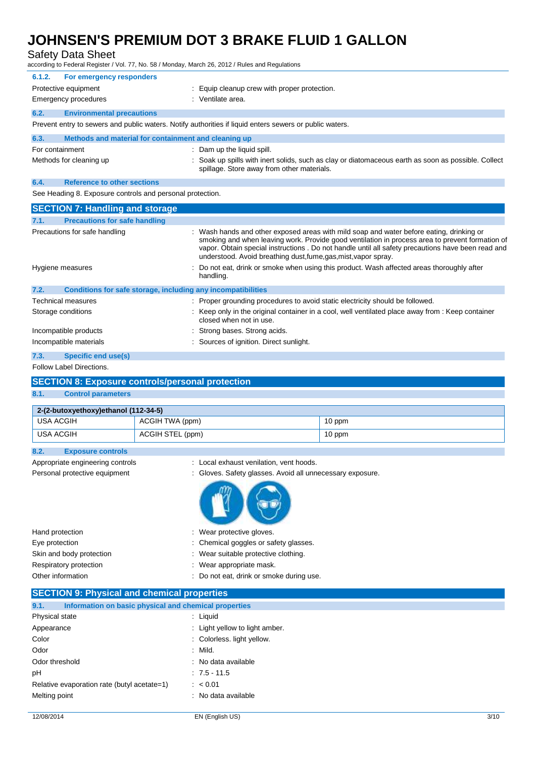Safety Data Sheet

according to Federal Register / Vol. 77, No. 58 / Monday, March 26, 2012 / Rules and Regulations

| 6.1.2.          | For emergency responders                                |                                                                                                                                                   |
|-----------------|---------------------------------------------------------|---------------------------------------------------------------------------------------------------------------------------------------------------|
|                 | Protective equipment                                    | Equip cleanup crew with proper protection.                                                                                                        |
|                 | Emergency procedures                                    | : Ventilate area.                                                                                                                                 |
| 6.2.            | <b>Environmental precautions</b>                        |                                                                                                                                                   |
|                 |                                                         | Prevent entry to sewers and public waters. Notify authorities if liquid enters sewers or public waters.                                           |
| 6.3.            | Methods and material for containment and cleaning up    |                                                                                                                                                   |
| For containment |                                                         | : Dam up the liquid spill.                                                                                                                        |
|                 | Methods for cleaning up                                 | : Soak up spills with inert solids, such as clay or diatomaceous earth as soon as possible. Collect<br>spillage. Store away from other materials. |
| 6.4.            | <b>Reference to other sections</b>                      |                                                                                                                                                   |
|                 | See Heading & Experits controls and personal protection |                                                                                                                                                   |

ee Heading 8. Exposure controls and personal protection.

| <b>SECTION 7: Handling and storage</b>       |                                                                                                                                                                                                                                                                                                                                                                      |
|----------------------------------------------|----------------------------------------------------------------------------------------------------------------------------------------------------------------------------------------------------------------------------------------------------------------------------------------------------------------------------------------------------------------------|
| <b>Precautions for safe handling</b><br>7.1. |                                                                                                                                                                                                                                                                                                                                                                      |
| Precautions for safe handling                | : Wash hands and other exposed areas with mild soap and water before eating, drinking or<br>smoking and when leaving work. Provide good ventilation in process area to prevent formation of<br>vapor. Obtain special instructions . Do not handle until all safety precautions have been read and<br>understood. Avoid breathing dust, fume, gas, mist, vapor spray. |
| Hygiene measures                             | : Do not eat, drink or smoke when using this product. Wash affected areas thoroughly after<br>handling.                                                                                                                                                                                                                                                              |
| 7.2.                                         | Conditions for safe storage, including any incompatibilities                                                                                                                                                                                                                                                                                                         |
| Technical measures                           | : Proper grounding procedures to avoid static electricity should be followed.                                                                                                                                                                                                                                                                                        |
| Storage conditions                           | : Keep only in the original container in a cool, well ventilated place away from : Keep container<br>closed when not in use.                                                                                                                                                                                                                                         |
| Incompatible products                        | : Strong bases. Strong acids.                                                                                                                                                                                                                                                                                                                                        |
| Incompatible materials                       | : Sources of ignition. Direct sunlight.                                                                                                                                                                                                                                                                                                                              |
| Consideration and consider<br>$\overline{z}$ |                                                                                                                                                                                                                                                                                                                                                                      |

### **7.3. Specific end use(s)**

## Follow Label Directions.

## **SECTION 8: Exposure controls/personal protection**

#### **8.1. Control parameters**

**8.2. Exposure controls**

| 2-(2-butoxyethoxy)ethanol (112-34-5) |                  |        |  |
|--------------------------------------|------------------|--------|--|
| USA ACGIH                            | ACGIH TWA (ppm)  | 10 ppm |  |
| USA ACGIH                            | ACGIH STEL (ppm) | 10 ppm |  |

| Appropriate engineering controls<br>Personal protective equipment | : Local exhaust venilation, vent hoods.<br>: Gloves. Safety glasses. Avoid all unnecessary exposure. |
|-------------------------------------------------------------------|------------------------------------------------------------------------------------------------------|
|                                                                   |                                                                                                      |
| Hand protection                                                   | Wear protective gloves.<br>÷                                                                         |
| Eye protection                                                    | : Chemical goggles or safety glasses.                                                                |
| Skin and body protection                                          | : Wear suitable protective clothing.                                                                 |
| Respiratory protection                                            | Wear appropriate mask.                                                                               |

|                | <b>SECTION 9: Physical and chemical properties</b>    |
|----------------|-------------------------------------------------------|
| Q <sub>1</sub> | Information on basic physical and chamical properties |

| J. I.<br><u>momination on pasic privational and chemical properties</u> |                                |
|-------------------------------------------------------------------------|--------------------------------|
| Physical state                                                          | : Liquid                       |
| Appearance                                                              | : Light yellow to light amber. |
| Color                                                                   | : Colorless. light yellow.     |
| Odor                                                                    | $:$ Mild.                      |
| Odor threshold                                                          | : No data available            |
| рH                                                                      | $: 7.5 - 11.5$                 |
| Relative evaporation rate (butyl acetate=1)                             | : < 0.01                       |
| Melting point                                                           | : No data available            |
|                                                                         |                                |

Other information : Do not eat, drink or smoke during use.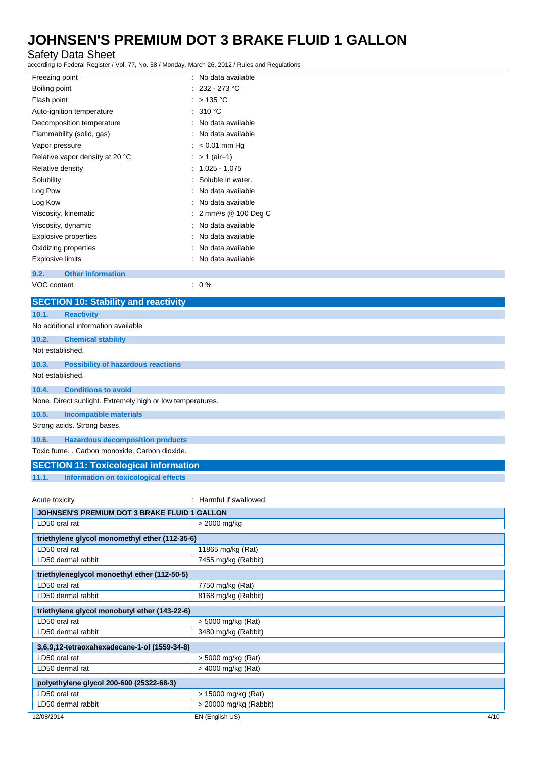### Safety Data Sheet

according to Federal Register / Vol. 77, No. 58 / Monday, March 26, 2012 / Rules and Regulations

| Freezing point                              | : No data available                |
|---------------------------------------------|------------------------------------|
| Boiling point                               | $: 232 - 273$ °C                   |
| Flash point                                 | : $>135^{\circ}$ C                 |
| Auto-ignition temperature                   | : 310 °C                           |
| Decomposition temperature                   | : No data available                |
| Flammability (solid, gas)                   | : No data available                |
| Vapor pressure                              | $: < 0.01$ mm Hg                   |
| Relative vapor density at 20 °C             | : $> 1$ (air=1)                    |
| Relative density                            | $: 1.025 - 1.075$                  |
| Solubility                                  | Soluble in water.                  |
| Log Pow                                     | No data available                  |
| Log Kow                                     | No data available                  |
| Viscosity, kinematic                        | : 2 mm <sup>2</sup> /s @ 100 Deg C |
| Viscosity, dynamic                          | : No data available                |
| Explosive properties                        | No data available                  |
| Oxidizing properties                        | : No data available                |
| Explosive limits                            | No data available                  |
| <b>Other information</b><br>9.2.            |                                    |
| VOC content                                 | $: 0\%$                            |
| <b>SECTION 10: Stability and reactivity</b> |                                    |

| 10.1.            | <b>Reactivity</b>                                          |
|------------------|------------------------------------------------------------|
|                  | No additional information available                        |
| 10.2.            | <b>Chemical stability</b>                                  |
| Not established. |                                                            |
| 10.3.            | <b>Possibility of hazardous reactions</b>                  |
| Not established. |                                                            |
| 10.4.            | <b>Conditions to avoid</b>                                 |
|                  | None. Direct sunlight. Extremely high or low temperatures. |
| 10.5.            | <b>Incompatible materials</b>                              |
|                  | Strong acids. Strong bases.                                |
| 10.6.            | <b>Hazardous decomposition products</b>                    |
|                  | Toxic fume. . Carbon monoxide. Carbon dioxide.             |
|                  | <b>SECTION 11: Toxicological information</b>               |

**11.1. Information on toxicological effects**

Acute toxicity **in the case of the case of the case of the case of the case of the case of the case of the case of the case of the case of the case of the case of the case of the case of the case of the case of the case of** 

| <b>JOHNSEN'S PREMIUM DOT 3 BRAKE FLUID 1 GALLON</b> |                         |  |
|-----------------------------------------------------|-------------------------|--|
| LD50 oral rat                                       | > 2000 mg/kg            |  |
| triethylene glycol monomethyl ether (112-35-6)      |                         |  |
| LD50 oral rat                                       | 11865 mg/kg (Rat)       |  |
| LD50 dermal rabbit                                  | 7455 mg/kg (Rabbit)     |  |
| triethyleneglycol monoethyl ether (112-50-5)        |                         |  |
| LD50 oral rat                                       | 7750 mg/kg (Rat)        |  |
| LD50 dermal rabbit                                  | 8168 mg/kg (Rabbit)     |  |
| triethylene glycol monobutyl ether (143-22-6)       |                         |  |
| LD50 oral rat                                       | > 5000 mg/kg (Rat)      |  |
| LD50 dermal rabbit                                  | 3480 mg/kg (Rabbit)     |  |
| 3,6,9,12-tetraoxahexadecane-1-ol (1559-34-8)        |                         |  |
| LD50 oral rat                                       | > 5000 mg/kg (Rat)      |  |
| LD50 dermal rat                                     | > 4000 mg/kg (Rat)      |  |
| polyethylene glycol 200-600 (25322-68-3)            |                         |  |
| LD50 oral rat                                       | > 15000 mg/kg (Rat)     |  |
| LD50 dermal rabbit                                  | > 20000 mg/kg (Rabbit)  |  |
| 12/08/2014                                          | 4/10<br>EN (English US) |  |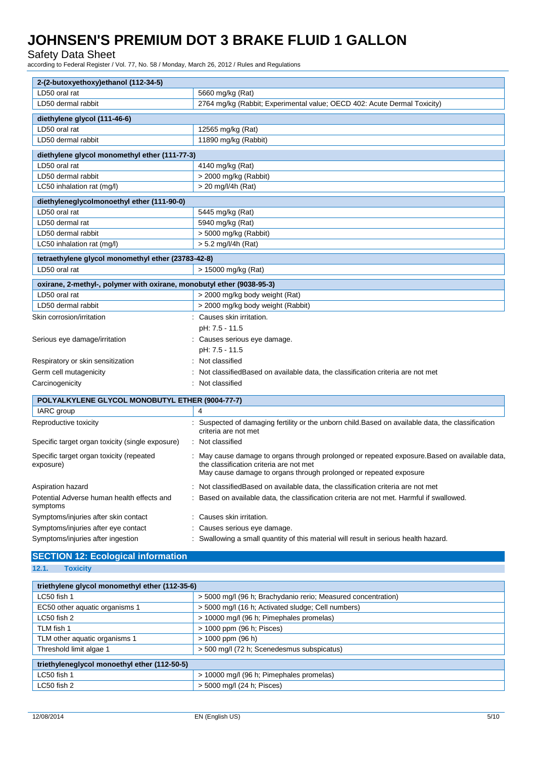### Safety Data Sheet

according to Federal Register / Vol. 77, No. 58 / Monday, March 26, 2012 / Rules and Regulations

| 2-(2-butoxyethoxy)ethanol (112-34-5)                                  |                                                                                                                                                                                                               |  |  |
|-----------------------------------------------------------------------|---------------------------------------------------------------------------------------------------------------------------------------------------------------------------------------------------------------|--|--|
| LD50 oral rat                                                         | 5660 mg/kg (Rat)                                                                                                                                                                                              |  |  |
| LD50 dermal rabbit                                                    | 2764 mg/kg (Rabbit; Experimental value; OECD 402: Acute Dermal Toxicity)                                                                                                                                      |  |  |
| diethylene glycol (111-46-6)                                          |                                                                                                                                                                                                               |  |  |
| LD50 oral rat                                                         | 12565 mg/kg (Rat)                                                                                                                                                                                             |  |  |
| LD50 dermal rabbit                                                    | 11890 mg/kg (Rabbit)                                                                                                                                                                                          |  |  |
| diethylene glycol monomethyl ether (111-77-3)                         |                                                                                                                                                                                                               |  |  |
| LD50 oral rat                                                         | 4140 mg/kg (Rat)                                                                                                                                                                                              |  |  |
| LD50 dermal rabbit                                                    | > 2000 mg/kg (Rabbit)                                                                                                                                                                                         |  |  |
| LC50 inhalation rat (mg/l)                                            | $>$ 20 mg/l/4h (Rat)                                                                                                                                                                                          |  |  |
| diethyleneglycolmonoethyl ether (111-90-0)                            |                                                                                                                                                                                                               |  |  |
| LD50 oral rat                                                         | 5445 mg/kg (Rat)                                                                                                                                                                                              |  |  |
| LD50 dermal rat                                                       | 5940 mg/kg (Rat)                                                                                                                                                                                              |  |  |
| LD50 dermal rabbit                                                    | > 5000 mg/kg (Rabbit)                                                                                                                                                                                         |  |  |
| LC50 inhalation rat (mg/l)                                            | > 5.2 mg/l/4h (Rat)                                                                                                                                                                                           |  |  |
| tetraethylene glycol monomethyl ether (23783-42-8)                    |                                                                                                                                                                                                               |  |  |
| LD50 oral rat                                                         | > 15000 mg/kg (Rat)                                                                                                                                                                                           |  |  |
| oxirane, 2-methyl-, polymer with oxirane, monobutyl ether (9038-95-3) |                                                                                                                                                                                                               |  |  |
| LD50 oral rat                                                         | > 2000 mg/kg body weight (Rat)                                                                                                                                                                                |  |  |
| LD50 dermal rabbit                                                    | > 2000 mg/kg body weight (Rabbit)                                                                                                                                                                             |  |  |
| Skin corrosion/irritation                                             | : Causes skin irritation.                                                                                                                                                                                     |  |  |
|                                                                       | pH: 7.5 - 11.5                                                                                                                                                                                                |  |  |
| Serious eye damage/irritation                                         | : Causes serious eye damage.                                                                                                                                                                                  |  |  |
|                                                                       | pH: 7.5 - 11.5                                                                                                                                                                                                |  |  |
| Respiratory or skin sensitization                                     | Not classified                                                                                                                                                                                                |  |  |
| Germ cell mutagenicity                                                | Not classified Based on available data, the classification criteria are not met                                                                                                                               |  |  |
| Carcinogenicity                                                       | Not classified                                                                                                                                                                                                |  |  |
| POLYALKYLENE GLYCOL MONOBUTYL ETHER (9004-77-7)                       |                                                                                                                                                                                                               |  |  |
| IARC group                                                            | 4                                                                                                                                                                                                             |  |  |
| Reproductive toxicity                                                 | : Suspected of damaging fertility or the unborn child.Based on available data, the classification<br>criteria are not met                                                                                     |  |  |
| Specific target organ toxicity (single exposure)                      | : Not classified                                                                                                                                                                                              |  |  |
| Specific target organ toxicity (repeated<br>exposure)                 | : May cause damage to organs through prolonged or repeated exposure. Based on available data,<br>the classification criteria are not met<br>May cause damage to organs through prolonged or repeated exposure |  |  |
| Aspiration hazard                                                     | Not classified Based on available data, the classification criteria are not met                                                                                                                               |  |  |
| Potential Adverse human health effects and<br>symptoms                | Based on available data, the classification criteria are not met. Harmful if swallowed.                                                                                                                       |  |  |
| Symptoms/injuries after skin contact                                  | : Causes skin irritation.                                                                                                                                                                                     |  |  |
| Symptoms/injuries after eye contact                                   | Causes serious eye damage.                                                                                                                                                                                    |  |  |
| Symptoms/injuries after ingestion                                     | : Swallowing a small quantity of this material will result in serious health hazard.                                                                                                                          |  |  |

## **SECTION 12: Ecological information 12.1. Toxicity**

| 2.1.<br><b>Toxicity</b>                                 |                                                               |
|---------------------------------------------------------|---------------------------------------------------------------|
|                                                         |                                                               |
| triethylene glycol monomethyl ether (112-35-6)          |                                                               |
| LC50 fish 1                                             | > 5000 mg/l (96 h; Brachydanio rerio; Measured concentration) |
| EC50 other aquatic organisms 1                          | > 5000 mg/l (16 h; Activated sludge; Cell numbers)            |
| LC50 fish 2                                             | > 10000 mg/l (96 h; Pimephales promelas)                      |
| TLM fish 1                                              | > 1000 ppm (96 h; Pisces)                                     |
| TLM other aquatic organisms 1                           | $> 1000$ ppm (96 h)                                           |
| Threshold limit algae 1                                 | > 500 mg/l (72 h; Scenedesmus subspicatus)                    |
|                                                         |                                                               |
| triethyleneglycol monoethyl ether (112-50-5)            |                                                               |
| > 10000 mg/l (96 h; Pimephales promelas)<br>LC50 fish 1 |                                                               |
| LC50 fish 2                                             | > 5000 mg/l (24 h; Pisces)                                    |
|                                                         |                                                               |
|                                                         |                                                               |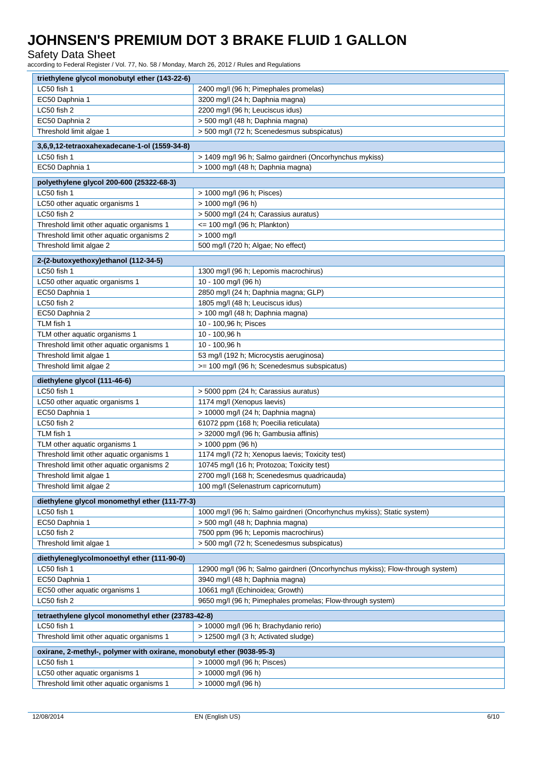Safety Data Sheet

according to Federal Register / Vol. 77, No. 58 / Monday, March 26, 2012 / Rules and Regulations

| triethylene glycol monobutyl ether (143-22-6)                         |                                                                               |  |  |
|-----------------------------------------------------------------------|-------------------------------------------------------------------------------|--|--|
| LC50 fish 1                                                           | 2400 mg/l (96 h; Pimephales promelas)                                         |  |  |
| EC50 Daphnia 1                                                        | 3200 mg/l (24 h; Daphnia magna)                                               |  |  |
| LC50 fish 2                                                           | 2200 mg/l (96 h; Leuciscus idus)                                              |  |  |
| EC50 Daphnia 2                                                        | > 500 mg/l (48 h; Daphnia magna)                                              |  |  |
| Threshold limit algae 1                                               | > 500 mg/l (72 h; Scenedesmus subspicatus)                                    |  |  |
|                                                                       |                                                                               |  |  |
| 3,6,9,12-tetraoxahexadecane-1-ol (1559-34-8)                          |                                                                               |  |  |
| LC50 fish 1                                                           | > 1409 mg/l 96 h; Salmo gairdneri (Oncorhynchus mykiss)                       |  |  |
| EC50 Daphnia 1                                                        | > 1000 mg/l (48 h; Daphnia magna)                                             |  |  |
| polyethylene glycol 200-600 (25322-68-3)                              |                                                                               |  |  |
| LC50 fish 1                                                           | > 1000 mg/l (96 h; Pisces)                                                    |  |  |
| LC50 other aquatic organisms 1                                        | > 1000 mg/l (96 h)                                                            |  |  |
| LC50 fish 2                                                           | > 5000 mg/l (24 h; Carassius auratus)                                         |  |  |
| Threshold limit other aquatic organisms 1                             | <= 100 mg/l (96 h; Plankton)                                                  |  |  |
| Threshold limit other aquatic organisms 2                             | > 1000 mg/l                                                                   |  |  |
| Threshold limit algae 2                                               | 500 mg/l (720 h; Algae; No effect)                                            |  |  |
|                                                                       |                                                                               |  |  |
| 2-(2-butoxyethoxy)ethanol (112-34-5)                                  |                                                                               |  |  |
| LC50 fish 1                                                           | 1300 mg/l (96 h; Lepomis macrochirus)                                         |  |  |
| LC50 other aquatic organisms 1                                        | 10 - 100 mg/l (96 h)                                                          |  |  |
| EC50 Daphnia 1                                                        | 2850 mg/l (24 h; Daphnia magna; GLP)                                          |  |  |
| LC50 fish 2                                                           | 1805 mg/l (48 h; Leuciscus idus)                                              |  |  |
| EC50 Daphnia 2                                                        | > 100 mg/l (48 h; Daphnia magna)                                              |  |  |
| TLM fish 1                                                            | 10 - 100,96 h; Pisces                                                         |  |  |
| TLM other aquatic organisms 1                                         | 10 - 100,96 h                                                                 |  |  |
| Threshold limit other aquatic organisms 1                             | 10 - 100,96 h                                                                 |  |  |
| Threshold limit algae 1                                               | 53 mg/l (192 h; Microcystis aeruginosa)                                       |  |  |
| Threshold limit algae 2                                               | >= 100 mg/l (96 h; Scenedesmus subspicatus)                                   |  |  |
| diethylene glycol (111-46-6)                                          |                                                                               |  |  |
| LC50 fish 1                                                           | > 5000 ppm (24 h; Carassius auratus)                                          |  |  |
| LC50 other aquatic organisms 1                                        | 1174 mg/l (Xenopus laevis)                                                    |  |  |
| EC50 Daphnia 1                                                        | > 10000 mg/l (24 h; Daphnia magna)                                            |  |  |
| LC50 fish 2                                                           | 61072 ppm (168 h; Poecilia reticulata)                                        |  |  |
| TLM fish 1                                                            | > 32000 mg/l (96 h; Gambusia affinis)                                         |  |  |
| TLM other aquatic organisms 1                                         | $> 1000$ ppm (96 h)                                                           |  |  |
| Threshold limit other aquatic organisms 1                             | 1174 mg/l (72 h; Xenopus laevis; Toxicity test)                               |  |  |
| Threshold limit other aquatic organisms 2                             | 10745 mg/l (16 h; Protozoa; Toxicity test)                                    |  |  |
| Threshold limit algae 1                                               | 2700 mg/l (168 h; Scenedesmus quadricauda)                                    |  |  |
| Threshold limit algae 2                                               | 100 mg/l (Selenastrum capricornutum)                                          |  |  |
| diethylene glycol monomethyl ether (111-77-3)                         |                                                                               |  |  |
| LC50 fish 1                                                           | 1000 mg/l (96 h; Salmo gairdneri (Oncorhynchus mykiss); Static system)        |  |  |
| EC50 Daphnia 1                                                        | > 500 mg/l (48 h; Daphnia magna)                                              |  |  |
| LC50 fish 2                                                           | 7500 ppm (96 h; Lepomis macrochirus)                                          |  |  |
| Threshold limit algae 1                                               | > 500 mg/l (72 h; Scenedesmus subspicatus)                                    |  |  |
|                                                                       |                                                                               |  |  |
| diethyleneglycolmonoethyl ether (111-90-0)                            |                                                                               |  |  |
| LC50 fish 1                                                           | 12900 mg/l (96 h; Salmo gairdneri (Oncorhynchus mykiss); Flow-through system) |  |  |
| EC50 Daphnia 1                                                        | 3940 mg/l (48 h; Daphnia magna)                                               |  |  |
| EC50 other aquatic organisms 1                                        | 10661 mg/l (Echinoidea; Growth)                                               |  |  |
| LC50 fish 2                                                           | 9650 mg/l (96 h; Pimephales promelas; Flow-through system)                    |  |  |
| tetraethylene glycol monomethyl ether (23783-42-8)                    |                                                                               |  |  |
| LC50 fish 1                                                           | > 10000 mg/l (96 h; Brachydanio rerio)                                        |  |  |
| Threshold limit other aquatic organisms 1                             | > 12500 mg/l (3 h; Activated sludge)                                          |  |  |
|                                                                       |                                                                               |  |  |
| oxirane, 2-methyl-, polymer with oxirane, monobutyl ether (9038-95-3) |                                                                               |  |  |
| LC50 fish 1<br>LC50 other aquatic organisms 1                         | > 10000 mg/l (96 h; Pisces)                                                   |  |  |
|                                                                       | > 10000 mg/l (96 h)                                                           |  |  |
| Threshold limit other aquatic organisms 1                             | > 10000 mg/l (96 h)                                                           |  |  |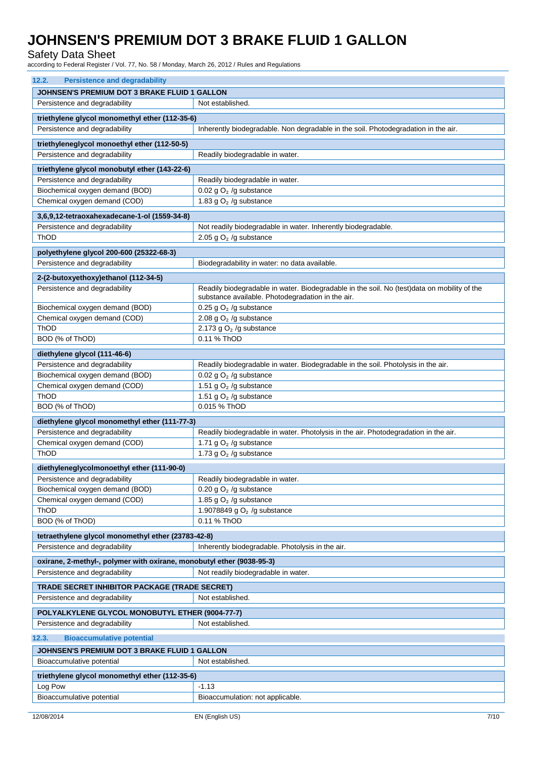Safety Data Sheet

according to Federal Register / Vol. 77, No. 58 / Monday, March 26, 2012 / Rules and Regulations

| 12.2.<br><b>Persistence and degradability</b>                         |                                                                                             |  |  |  |
|-----------------------------------------------------------------------|---------------------------------------------------------------------------------------------|--|--|--|
| JOHNSEN'S PREMIUM DOT 3 BRAKE FLUID 1 GALLON                          |                                                                                             |  |  |  |
| Persistence and degradability                                         | Not established.                                                                            |  |  |  |
| triethylene glycol monomethyl ether (112-35-6)                        |                                                                                             |  |  |  |
| Persistence and degradability                                         | Inherently biodegradable. Non degradable in the soil. Photodegradation in the air.          |  |  |  |
|                                                                       |                                                                                             |  |  |  |
| triethyleneglycol monoethyl ether (112-50-5)                          |                                                                                             |  |  |  |
| Persistence and degradability                                         | Readily biodegradable in water.                                                             |  |  |  |
| triethylene glycol monobutyl ether (143-22-6)                         |                                                                                             |  |  |  |
| Persistence and degradability                                         | Readily biodegradable in water.                                                             |  |  |  |
| Biochemical oxygen demand (BOD)                                       | 0.02 g $O2$ /g substance                                                                    |  |  |  |
| Chemical oxygen demand (COD)                                          | 1.83 g $O2$ /g substance                                                                    |  |  |  |
| 3,6,9,12-tetraoxahexadecane-1-ol (1559-34-8)                          |                                                                                             |  |  |  |
| Persistence and degradability                                         | Not readily biodegradable in water. Inherently biodegradable.                               |  |  |  |
| ThOD                                                                  | 2.05 g $O2$ /g substance                                                                    |  |  |  |
| polyethylene glycol 200-600 (25322-68-3)                              |                                                                                             |  |  |  |
| Persistence and degradability                                         | Biodegradability in water: no data available.                                               |  |  |  |
| 2-(2-butoxyethoxy)ethanol (112-34-5)                                  |                                                                                             |  |  |  |
| Persistence and degradability                                         | Readily biodegradable in water. Biodegradable in the soil. No (test)data on mobility of the |  |  |  |
|                                                                       | substance available. Photodegradation in the air.                                           |  |  |  |
| Biochemical oxygen demand (BOD)                                       | 0.25 g $O2$ /g substance                                                                    |  |  |  |
| Chemical oxygen demand (COD)                                          | 2.08 g $O2$ /g substance                                                                    |  |  |  |
| ThOD                                                                  | 2.173 g $O2$ /g substance                                                                   |  |  |  |
| BOD (% of ThOD)                                                       | 0.11 % ThOD                                                                                 |  |  |  |
| diethylene glycol (111-46-6)                                          |                                                                                             |  |  |  |
| Persistence and degradability                                         | Readily biodegradable in water. Biodegradable in the soil. Photolysis in the air.           |  |  |  |
| Biochemical oxygen demand (BOD)                                       | 0.02 g $O2$ /g substance                                                                    |  |  |  |
| Chemical oxygen demand (COD)                                          | 1.51 g $O2$ /g substance                                                                    |  |  |  |
| ThOD                                                                  | 1.51 g $O2$ /g substance                                                                    |  |  |  |
| BOD (% of ThOD)                                                       | 0.015 % ThOD                                                                                |  |  |  |
| diethylene glycol monomethyl ether (111-77-3)                         |                                                                                             |  |  |  |
| Persistence and degradability                                         | Readily biodegradable in water. Photolysis in the air. Photodegradation in the air.         |  |  |  |
| Chemical oxygen demand (COD)                                          | 1.71 g $O2$ /g substance                                                                    |  |  |  |
| ThOD                                                                  | 1.73 g $O2$ /g substance                                                                    |  |  |  |
| diethyleneglycolmonoethyl ether (111-90-0)                            |                                                                                             |  |  |  |
| Persistence and degradability                                         | Readily biodegradable in water.                                                             |  |  |  |
| Biochemical oxygen demand (BOD)                                       | 0.20 g $O2$ /g substance                                                                    |  |  |  |
| Chemical oxygen demand (COD)                                          | 1.85 g $O2$ /g substance                                                                    |  |  |  |
| ThOD                                                                  | 1.9078849 g $O2$ /g substance                                                               |  |  |  |
| BOD (% of ThOD)                                                       | 0.11 % ThOD                                                                                 |  |  |  |
| tetraethylene glycol monomethyl ether (23783-42-8)                    |                                                                                             |  |  |  |
| Persistence and degradability                                         | Inherently biodegradable. Photolysis in the air.                                            |  |  |  |
| oxirane, 2-methyl-, polymer with oxirane, monobutyl ether (9038-95-3) |                                                                                             |  |  |  |
| Persistence and degradability                                         | Not readily biodegradable in water.                                                         |  |  |  |
|                                                                       |                                                                                             |  |  |  |
| <b>TRADE SECRET INHIBITOR PACKAGE (TRADE SECRET)</b>                  |                                                                                             |  |  |  |
| Persistence and degradability                                         | Not established.                                                                            |  |  |  |
| POLYALKYLENE GLYCOL MONOBUTYL ETHER (9004-77-7)                       |                                                                                             |  |  |  |
| Persistence and degradability                                         | Not established.                                                                            |  |  |  |
| 12.3.<br><b>Bioaccumulative potential</b>                             |                                                                                             |  |  |  |
| <b>JOHNSEN'S PREMIUM DOT 3 BRAKE FLUID 1 GALLON</b>                   |                                                                                             |  |  |  |
| Bioaccumulative potential                                             | Not established.                                                                            |  |  |  |
| triethylene glycol monomethyl ether (112-35-6)                        |                                                                                             |  |  |  |
| Log Pow<br>$-1.13$                                                    |                                                                                             |  |  |  |
| Bioaccumulative potential                                             | Bioaccumulation: not applicable.                                                            |  |  |  |
|                                                                       |                                                                                             |  |  |  |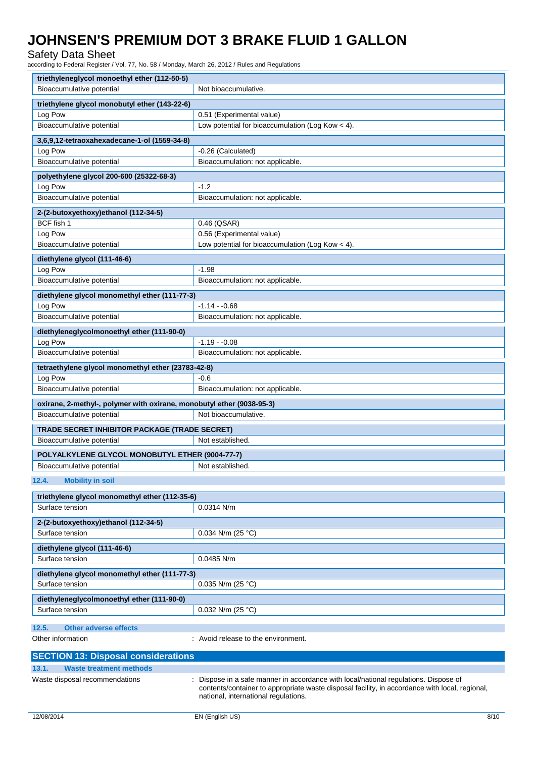Safety Data Sheet

according to Federal Register / Vol. 77, No. 58 / Monday, March 26, 2012 / Rules and Regulations

| triethyleneglycol monoethyl ether (112-50-5)                          |                                                                                                                                        |  |  |
|-----------------------------------------------------------------------|----------------------------------------------------------------------------------------------------------------------------------------|--|--|
| Bioaccumulative potential                                             | Not bioaccumulative.                                                                                                                   |  |  |
| triethylene glycol monobutyl ether (143-22-6)                         |                                                                                                                                        |  |  |
| Log Pow                                                               | 0.51 (Experimental value)                                                                                                              |  |  |
| Bioaccumulative potential                                             | Low potential for bioaccumulation (Log Kow $<$ 4).                                                                                     |  |  |
| 3,6,9,12-tetraoxahexadecane-1-ol (1559-34-8)                          |                                                                                                                                        |  |  |
| Log Pow                                                               | -0.26 (Calculated)                                                                                                                     |  |  |
| Bioaccumulative potential                                             | Bioaccumulation: not applicable.                                                                                                       |  |  |
| polyethylene glycol 200-600 (25322-68-3)                              |                                                                                                                                        |  |  |
| Log Pow                                                               | $-1.2$                                                                                                                                 |  |  |
| Bioaccumulative potential                                             | Bioaccumulation: not applicable.                                                                                                       |  |  |
|                                                                       |                                                                                                                                        |  |  |
| 2-(2-butoxyethoxy)ethanol (112-34-5)<br>BCF fish 1                    | 0.46 (QSAR)                                                                                                                            |  |  |
| Log Pow                                                               | 0.56 (Experimental value)                                                                                                              |  |  |
| Bioaccumulative potential                                             | Low potential for bioaccumulation (Log Kow $<$ 4).                                                                                     |  |  |
|                                                                       |                                                                                                                                        |  |  |
| diethylene glycol (111-46-6)                                          |                                                                                                                                        |  |  |
| Log Pow                                                               | $-1.98$                                                                                                                                |  |  |
| Bioaccumulative potential                                             | Bioaccumulation: not applicable.                                                                                                       |  |  |
| diethylene glycol monomethyl ether (111-77-3)                         |                                                                                                                                        |  |  |
| Log Pow                                                               | $-1.14 - 0.68$                                                                                                                         |  |  |
| Bioaccumulative potential                                             | Bioaccumulation: not applicable.                                                                                                       |  |  |
| diethyleneglycolmonoethyl ether (111-90-0)                            |                                                                                                                                        |  |  |
| Log Pow                                                               | $-1.19 - 0.08$                                                                                                                         |  |  |
| Bioaccumulative potential                                             | Bioaccumulation: not applicable.                                                                                                       |  |  |
| tetraethylene glycol monomethyl ether (23783-42-8)                    |                                                                                                                                        |  |  |
| Log Pow                                                               | $-0.6$                                                                                                                                 |  |  |
| Bioaccumulative potential                                             | Bioaccumulation: not applicable.                                                                                                       |  |  |
| oxirane, 2-methyl-, polymer with oxirane, monobutyl ether (9038-95-3) |                                                                                                                                        |  |  |
| Bioaccumulative potential                                             | Not bioaccumulative.                                                                                                                   |  |  |
| TRADE SECRET INHIBITOR PACKAGE (TRADE SECRET)                         |                                                                                                                                        |  |  |
| Bioaccumulative potential                                             | Not established.                                                                                                                       |  |  |
|                                                                       |                                                                                                                                        |  |  |
| POLYALKYLENE GLYCOL MONOBUTYL ETHER (9004-77-7)                       |                                                                                                                                        |  |  |
| Bioaccumulative potential                                             | Not established.                                                                                                                       |  |  |
| 12.4.<br><b>Mobility in soil</b>                                      |                                                                                                                                        |  |  |
| triethylene glycol monomethyl ether (112-35-6)                        |                                                                                                                                        |  |  |
| Surface tension                                                       | $0.0314$ N/m                                                                                                                           |  |  |
|                                                                       |                                                                                                                                        |  |  |
| 2-(2-butoxyethoxy)ethanol (112-34-5)<br>Surface tension               | 0.034 N/m (25 °C)                                                                                                                      |  |  |
|                                                                       |                                                                                                                                        |  |  |
| diethylene glycol (111-46-6)                                          |                                                                                                                                        |  |  |
| Surface tension                                                       | 0.0485 N/m                                                                                                                             |  |  |
| diethylene glycol monomethyl ether (111-77-3)                         |                                                                                                                                        |  |  |
| Surface tension                                                       | $0.035$ N/m (25 °C)                                                                                                                    |  |  |
| diethyleneglycolmonoethyl ether (111-90-0)                            |                                                                                                                                        |  |  |
| Surface tension                                                       | 0.032 N/m (25 °C)                                                                                                                      |  |  |
|                                                                       |                                                                                                                                        |  |  |
| 12.5.<br><b>Other adverse effects</b>                                 |                                                                                                                                        |  |  |
| Other information                                                     | Avoid release to the environment.                                                                                                      |  |  |
| <b>SECTION 13: Disposal considerations</b>                            |                                                                                                                                        |  |  |
| 13.1.<br><b>Waste treatment methods</b>                               |                                                                                                                                        |  |  |
| Waste disposal recommendations                                        | Dispose in a safe manner in accordance with local/national regulations. Dispose of                                                     |  |  |
|                                                                       | contents/container to appropriate waste disposal facility, in accordance with local, regional,<br>national, international regulations. |  |  |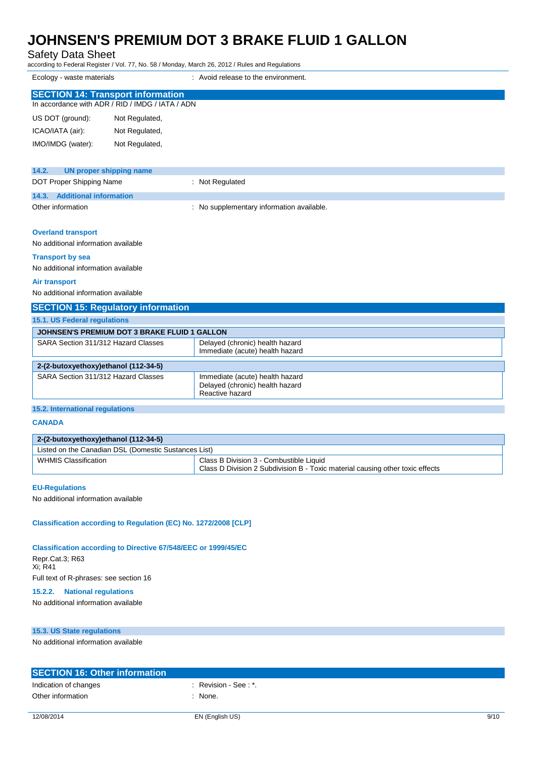Safety Data Sheet

according to Federal Register / Vol. 77, No. 58 / Monday, March 26, 2012 / Rules and Regulations

Ecology - waste materials **Example 20** and the environment.

| <b>SECTION 14: Transport information</b><br>In accordance with ADR / RID / IMDG / IATA / ADN |                                |  |  |  |
|----------------------------------------------------------------------------------------------|--------------------------------|--|--|--|
| US DOT (ground):                                                                             | Not Regulated,                 |  |  |  |
| ICAO/IATA (air):                                                                             | Not Regulated,                 |  |  |  |
| IMO/IMDG (water):                                                                            | Not Regulated,                 |  |  |  |
|                                                                                              |                                |  |  |  |
| 14.2.                                                                                        | <b>UN proper shipping name</b> |  |  |  |

| DOT Proper Shipping Name     | Not Regulated                             |
|------------------------------|-------------------------------------------|
| 14.3. Additional information |                                           |
| Other information            | : No supplementary information available. |

#### **Overland transport**

No additional information available

#### **Transport by sea**

No additional information available

#### **Air transport**

No additional information available

| <b>SECTION 15: Regulatory information</b>    |                                                                                       |  |  |
|----------------------------------------------|---------------------------------------------------------------------------------------|--|--|
| 15.1. US Federal regulations                 |                                                                                       |  |  |
| JOHNSEN'S PREMIUM DOT 3 BRAKE FLUID 1 GALLON |                                                                                       |  |  |
| SARA Section 311/312 Hazard Classes          | Delayed (chronic) health hazard<br>Immediate (acute) health hazard                    |  |  |
| 2-(2-butoxyethoxy)ethanol (112-34-5)         |                                                                                       |  |  |
| SARA Section 311/312 Hazard Classes          | Immediate (acute) health hazard<br>Delayed (chronic) health hazard<br>Reactive hazard |  |  |

### **15.2. International regulations**

**CANADA**

### **2-(2-butoxyethoxy)ethanol (112-34-5)**

| Listed on the Canadian DSL (Domestic Sustances List) |                                                                                                                          |  |  |
|------------------------------------------------------|--------------------------------------------------------------------------------------------------------------------------|--|--|
| <b>WHMIS Classification</b>                          | Class B Division 3 - Combustible Liquid<br>Class D Division 2 Subdivision B - Toxic material causing other toxic effects |  |  |
|                                                      |                                                                                                                          |  |  |

#### **EU-Regulations**

No additional information available

### **Classification according to Regulation (EC) No. 1272/2008 [CLP]**

#### **Classification according to Directive 67/548/EEC or 1999/45/EC**

Repr.Cat.3; R63 Xi; R41 Full text of R-phrases: see section 16

## **15.2.2. National regulations**

No additional information available

#### **15.3. US State regulations**

No additional information available

| <b>SECTION 16: Other information</b> |                     |
|--------------------------------------|---------------------|
| Indication of changes                | Revision - See : *. |
| Other information                    | None.               |